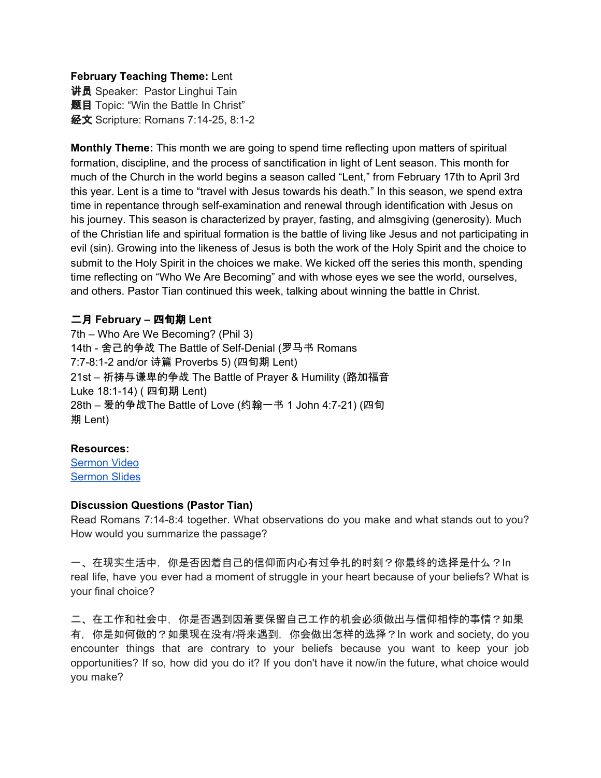#### **February Teaching Theme:** Lent

讲员 Speaker: Pastor Linghui Tain **题目** Topic: "Win the Battle In Christ" 经文 Scripture: Romans 7:14-25, 8:1-2

**Monthly Theme:** This month we are going to spend time reflecting upon matters of spiritual formation, discipline, and the process of sanctification in light of Lent season. This month for much of the Church in the world begins a season called "Lent," from February 17th to April 3rd this year. Lent is a time to "travel with Jesus towards his death." In this season, we spend extra time in repentance through self-examination and renewal through identification with Jesus on his journey. This season is characterized by prayer, fasting, and almsgiving (generosity). Much of the Christian life and spiritual formation is the battle of living like Jesus and not participating in evil (sin). Growing into the likeness of Jesus is both the work of the Holy Spirit and the choice to submit to the Holy Spirit in the choices we make. We kicked off the series this month, spending time reflecting on "Who We Are Becoming" and with whose eyes we see the world, ourselves, and others. Pastor Tian continued this week, talking about winning the battle in Christ.

## 二月 **February –** 四旬期 **Lent**

7th – Who Are We Becoming? (Phil 3) 14th - 舍己的争战 The Battle of Self-Denial (罗马书 Romans 7:7-8:1-2 and/or 诗篇 Proverbs 5) (四旬期 Lent) 21st – 祈祷与谦卑的争战 The Battle of Prayer & Humility (路加福音 Luke 18:1-14) ( 四旬期 Lent) 28th – 爱的争战The Battle of Love (约翰一书 1 John 4:7-21) (四旬 期 Lent)

## **Resources:**

[Sermon](https://www.youtube.com/watch?v=A2A_0d93qY0) Video [Sermon](http://www.lcccky.org/CellGroup/Meetings/021421%20%E5%9C%A8%E5%9F%BA%E7%9D%A3%E9%87%8C%E5%BE%97%E8%83%9C.pdf) Slides

## **Discussion Questions (Pastor Tian)**

Read Romans 7:14-8:4 together. What observations do you make and what stands out to you? How would you summarize the passage?

一、在现实生活中,你是否因着自己的信仰而内心有过争扎的时刻?你最终的选择是什么?In real life, have you ever had a moment of struggle in your heart because of your beliefs? What is your final choice?

二、在工作和社会中,你是否遇到因着要保留自己工作的机会必须做出与信仰相悖的事情?如果 有,你是如何做的?如果现在没有/将来遇到,你会做出怎样的选择?In work and society, do you encounter things that are contrary to your beliefs because you want to keep your job opportunities? If so, how did you do it? If you don't have it now/in the future, what choice would you make?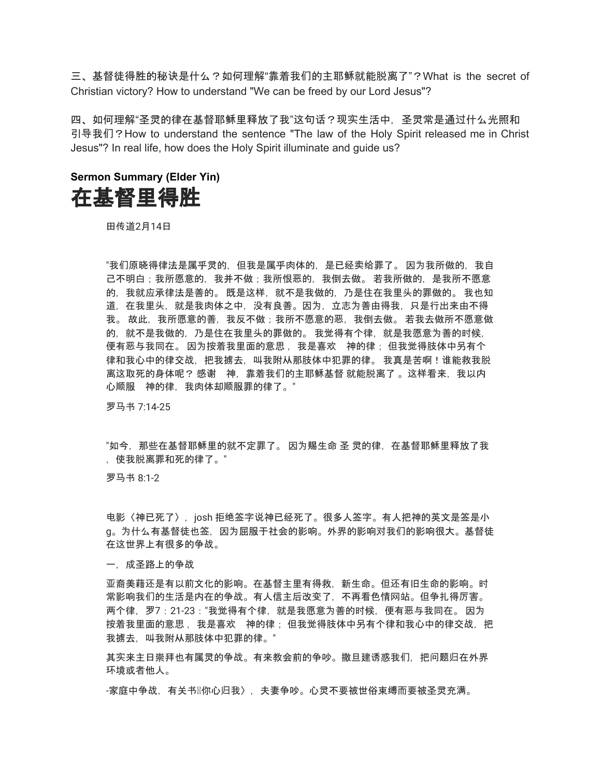三、基督徒得胜的秘诀是什么?如何理解"靠着我们的主耶稣就能脱离了"?What is the secret of Christian victory? How to understand "We can be freed by our Lord Jesus"?

四、如何理解"圣灵的律在基督耶稣里释放了我"这句话?现实生活中,圣灵常是通过什么光照和 引导我们? How to understand the sentence "The law of the Holy Spirit released me in Christ Jesus"? In real life, how does the Holy Spirit illuminate and guide us?

# **Sermon Summary (Elder Yin)** 在基督里得胜

田传道2月14日

"我们原晓得律法是属乎灵的,但我是属乎肉体的,是已经卖给罪了。 因为我所做的,我自 己不明白;我所愿意的,我并不做;我所恨恶的,我倒去做。 若我所做的,是我所不愿意 的,我就应承律法是善的。 既是这样,就不是我做的,乃是住在我里头的罪做的。 我也知 道,在我里头,就是我肉体之中,没有良善。因为,立志为善由得我,只是行出来由不得 我。 故此,我所愿意的善,我反不做;我所不愿意的恶,我倒去做。 若我去做所不愿意做 的,就不是我做的,乃是住在我里头的罪做的。 我觉得有个律,就是我愿意为善的时候, 便有恶与我同在。 因为按着我里面的意思, 我是喜欢 神的律; 但我觉得肢体中另有个 律和我心中的律交战,把我掳去,叫我附从那肢体中犯罪的律。 我真是苦啊!谁能救我脱 离这取死的身体呢? 感谢 神, 靠着我们的主耶稣基督 就能脱离了 。这样看来, 我以内 心顺服 神的律,我肉体却顺服罪的律了。"

罗马书 7:14-25

"如今,那些在基督耶稣里的就不定罪了。 因为赐生命 圣 灵的律,在基督耶稣里释放了我 ,使我脱离罪和死的律了。"

罗马书 8:1-2

电影〈神已死了〉,josh 拒绝签字说神已经死了。很多人签字。有人把神的英文是签是小 g。为什么有基督徒也签,因为屈服于社会的影响。外界的影响对我们的影响很大。基督徒 在这世界上有很多的争战。

一,成圣路上的争战

亚裔美藉还是有以前文化的影响。在基督主里有得救,新生命。但还有旧生命的影响。时 常影响我们的生活是内在的争战。有人信主后改变了,不再看色情网站。但争扎得厉害。 两个律,罗7:21-23:"我觉得有个律,就是我愿意为善的时候,便有恶与我同在。 因为 按着我里面的意思 ,我是喜欢 神的律 ;但我觉得肢体中另有个律和我心中的律交战,把 我掳去,叫我附从那肢体中犯罪的律。"

其实来主日崇拜也有属灵的争战。有来教会前的争吵。撒旦建诱惑我们,把问题归在外界 环境或者他人。

-家庭中争战,有关书⊠你心归我〉,夫妻争吵。心灵不要被世俗束缚而要被圣灵充满。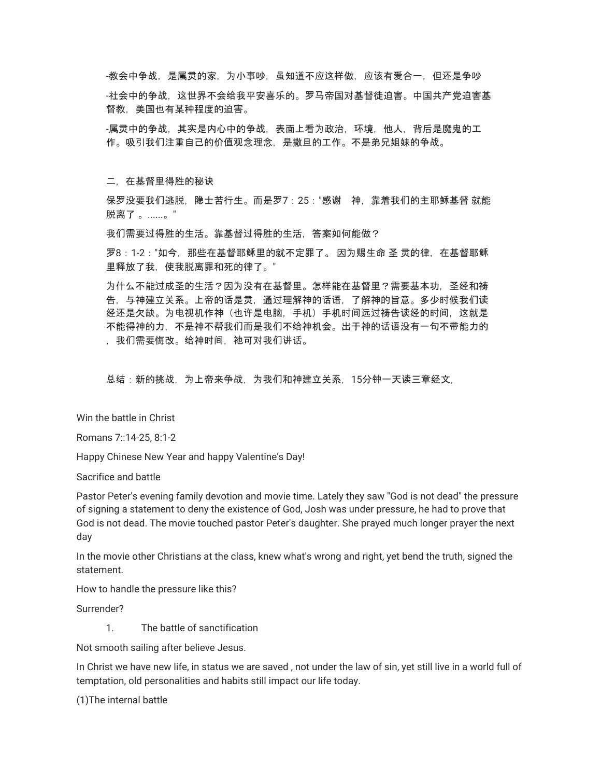-教会中争战,是属灵的家,为小事吵,虽知道不应这样做,应该有爱合一,但还是争吵

-社会中的争战,这世界不会给我平安喜乐的。罗马帝国对基督徒迫害。中国共产党迫害基 督教,美国也有某种程度的迫害。

-属灵中的争战,其实是内心中的争战,表面上看为政治,环境,他人,背后是魔鬼的工 作。吸引我们注重自己的价值观念理念,是撒旦的工作。不是弟兄姐妹的争战。

二,在基督里得胜的秘诀

保罗没要我们逃脱,隐士苦行生。而是罗7:25:"感谢 神,靠着我们的主耶稣基督 就能 脱离了 。......。"

我们需要过得胜的生活。靠基督过得胜的生活,答案如何能做?

罗8:1-2:"如今,那些在基督耶稣里的就不定罪了。 因为赐生命 圣 灵的律,在基督耶稣 里释放了我,使我脱离罪和死的律了。"

为什么不能过成圣的生活?因为没有在基督里。怎样能在基督里?需要基本功,圣经和祷 告,与神建立关系。上帝的话是灵,通过理解神的话语,了解神的旨意。多少时候我们读 经还是欠缺。为电视机作神(也许是电脑,手机)手机时间远过祷告读经的时间,这就是 不能得神的力,不是神不帮我们而是我们不给神机会。出于神的话语没有一句不带能力的 ,我们需要悔改。给神时间,祂可对我们讲话。

总结:新的挑战,为上帝来争战,为我们和神建立关系,15分钟一天读三章经文,

Win the battle in Christ

Romans 7::14-25, 8:1-2

Happy Chinese New Year and happy Valentine's Day!

Sacrifice and battle

Pastor Peter's evening family devotion and movie time. Lately they saw "God is not dead" the pressure of signing a statement to deny the existence of God, Josh was under pressure, he had to prove that God is not dead. The movie touched pastor Peter's daughter. She prayed much longer prayer the next day

In the movie other Christians at the class, knew what's wrong and right, yet bend the truth, signed the statement.

How to handle the pressure like this?

Surrender?

1. The battle of sanctification

Not smooth sailing after believe Jesus.

In Christ we have new life, in status we are saved , not under the law of sin, yet still live in a world full of temptation, old personalities and habits still impact our life today.

(1)The internal battle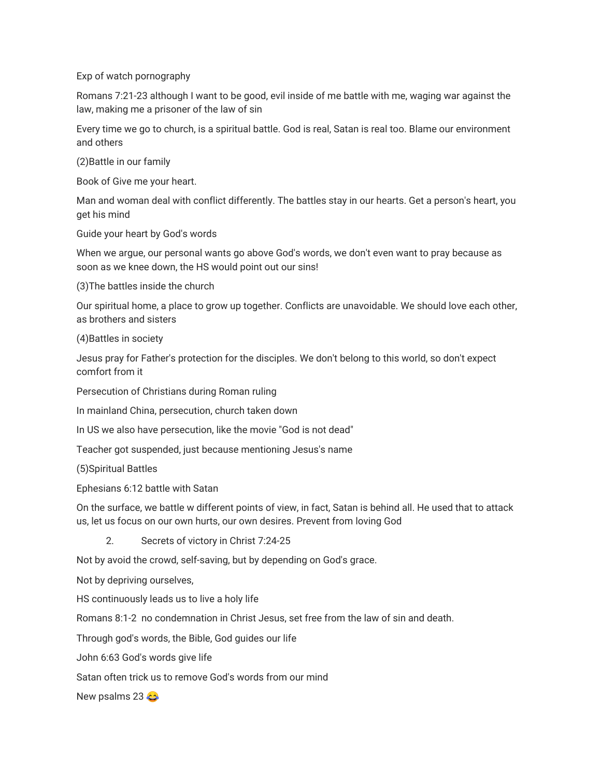Exp of watch pornography

Romans 7:21-23 although I want to be good, evil inside of me battle with me, waging war against the law, making me a prisoner of the law of sin

Every time we go to church, is a spiritual battle. God is real, Satan is real too. Blame our environment and others

(2)Battle in our family

Book of Give me your heart.

Man and woman deal with conflict differently. The battles stay in our hearts. Get a person's heart, you get his mind

Guide your heart by God's words

When we argue, our personal wants go above God's words, we don't even want to pray because as soon as we knee down, the HS would point out our sins!

(3)The battles inside the church

Our spiritual home, a place to grow up together. Conflicts are unavoidable. We should love each other, as brothers and sisters

(4)Battles in society

Jesus pray for Father's protection for the disciples. We don't belong to this world, so don't expect comfort from it

Persecution of Christians during Roman ruling

In mainland China, persecution, church taken down

In US we also have persecution, like the movie "God is not dead"

Teacher got suspended, just because mentioning Jesus's name

(5)Spiritual Battles

Ephesians 6:12 battle with Satan

On the surface, we battle w different points of view, in fact, Satan is behind all. He used that to attack us, let us focus on our own hurts, our own desires. Prevent from loving God

2. Secrets of victory in Christ 7:24-25

Not by avoid the crowd, self-saving, but by depending on God's grace.

Not by depriving ourselves,

HS continuously leads us to live a holy life

Romans 8:1-2 no condemnation in Christ Jesus, set free from the law of sin and death.

Through god's words, the Bible, God guides our life

John 6:63 God's words give life

Satan often trick us to remove God's words from our mind

New psalms 23